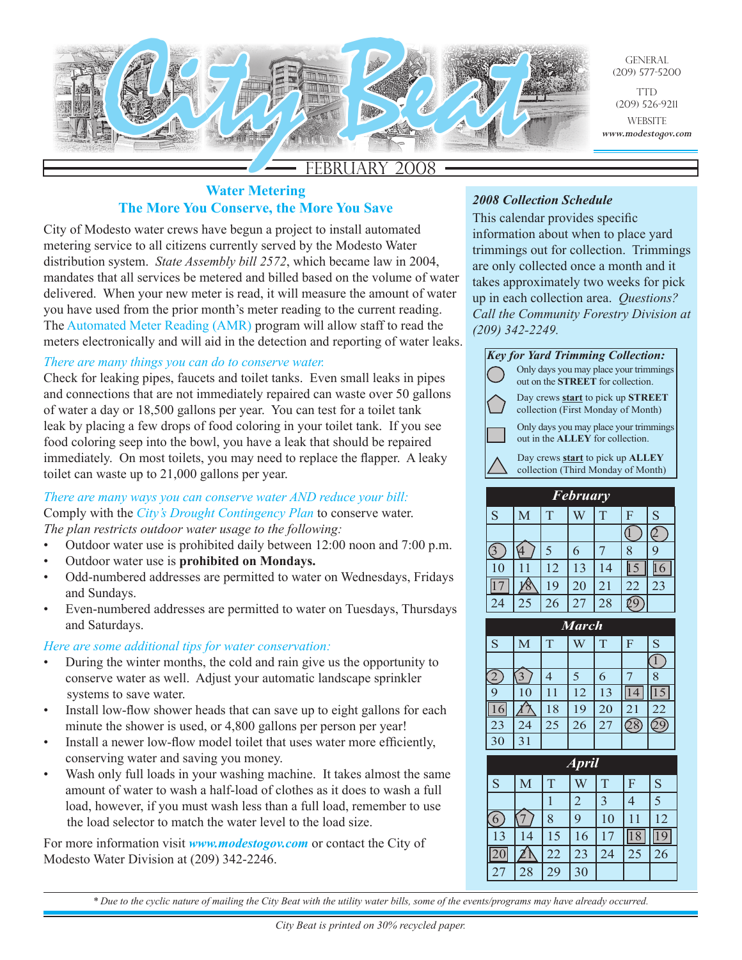

# FEBRUARY

# **Water Metering The More You Conserve, the More You Save**

City of Modesto water crews have begun a project to install automated metering service to all citizens currently served by the Modesto Water distribution system. *State Assembly bill 2572*, which became law in 2004, mandates that all services be metered and billed based on the volume of water delivered. When your new meter is read, it will measure the amount of water you have used from the prior month's meter reading to the current reading. The Automated Meter Reading (AMR) program will allow staff to read the meters electronically and will aid in the detection and reporting of water leaks.

## *There are many things you can do to conserve water.*

Check for leaking pipes, faucets and toilet tanks. Even small leaks in pipes and connections that are not immediately repaired can waste over 50 gallons of water a day or 18,500 gallons per year. You can test for a toilet tank leak by placing a few drops of food coloring in your toilet tank. If you see food coloring seep into the bowl, you have a leak that should be repaired immediately. On most toilets, you may need to replace the flapper. A leaky toilet can waste up to 21,000 gallons per year.

#### *There are many ways you can conserve water AND reduce your bill:* Comply with the *City's Drought Contingency Plan* to conserve water. *The plan restricts outdoor water usage to the following:*

- Outdoor water use is prohibited daily between 12:00 noon and 7:00 p.m.
- Outdoor water use is **prohibited on Mondays.**
- Odd-numbered addresses are permitted to water on Wednesdays, Fridays and Sundays.
- Even-numbered addresses are permitted to water on Tuesdays, Thursdays and Saturdays.

#### *Here are some additional tips for water conservation:*

- During the winter months, the cold and rain give us the opportunity to conserve water as well. Adjust your automatic landscape sprinkler systems to save water.
- Install low-flow shower heads that can save up to eight gallons for each minute the shower is used, or 4,800 gallons per person per year!
- Install a newer low-flow model toilet that uses water more efficiently, conserving water and saving you money.
- Wash only full loads in your washing machine. It takes almost the same amount of water to wash a half-load of clothes as it does to wash a full load, however, if you must wash less than a full load, remember to use the load selector to match the water level to the load size.

For more information visit *www.modestogov.com* or contact the City of Modesto Water Division at (209) 342-2246.

# *2008 Collection Schedule*

This calendar provides specific information about when to place yard trimmings out for collection. Trimmings are only collected once a month and it takes approximately two weeks for pick up in each collection area. *Questions? Call the Community Forestry Division at (209) 342-2249.*

| <b>Key for Yard Trimming Collection:</b> |                                                                                       |  |  |  |  |  |
|------------------------------------------|---------------------------------------------------------------------------------------|--|--|--|--|--|
|                                          | Only days you may place your trimmings<br>out on the <b>STREET</b> for collection.    |  |  |  |  |  |
|                                          | Day crews <b>start</b> to pick up <b>STREET</b><br>collection (First Monday of Month) |  |  |  |  |  |
|                                          | Only days you may place your trimmings<br>out in the <b>ALLEY</b> for collection.     |  |  |  |  |  |
|                                          | Day crews <b>start</b> to pick up <b>ALLEY</b><br>collection (Third Monday of Month)  |  |  |  |  |  |
|                                          |                                                                                       |  |  |  |  |  |
| <b>February</b>                          |                                                                                       |  |  |  |  |  |

| r evruary |    |    |    |                |    |                       |
|-----------|----|----|----|----------------|----|-----------------------|
| S         | Μ  |    |    | T              | F  | $\overline{\text{S}}$ |
|           |    |    |    |                |    |                       |
|           |    |    | 6  |                |    |                       |
| 10        |    | 12 | 13 | $\overline{4}$ |    |                       |
|           |    | 19 | 20 | 21             | 22 | 23                    |
|           | 25 | 26 | 27 | 28             |    |                       |

| <b>March</b> |                 |    |    |    |    |    |
|--------------|-----------------|----|----|----|----|----|
| S            | M               | T  |    | T  | F  | S  |
|              |                 |    |    |    |    |    |
|              |                 |    | 5  | 6  |    |    |
|              | 10              |    | 12 | 13 |    |    |
|              |                 | 18 | 19 | 20 | 21 | 22 |
| 23           | 24              | 25 | 26 | 27 |    |    |
|              | $\overline{3}1$ |    |    |    |    |    |

| <b>April</b> |                |                |    |                |    |    |  |
|--------------|----------------|----------------|----|----------------|----|----|--|
| S            | M              | $\overline{T}$ |    | $\overline{T}$ | F  | S  |  |
|              |                |                | 2  | 3              |    | 5  |  |
|              |                | 8              | 9  | 10             |    | 12 |  |
| 13           | $\overline{4}$ | 15             | 16 | $\overline{7}$ |    |    |  |
|              |                | 22             | 23 | 24             | 25 | 26 |  |
|              | 28             | 29             | 30 |                |    |    |  |

*\* Due to the cyclic nature of mailing the City Beat with the utility water bills, some of the events/programs may have already occurred.*